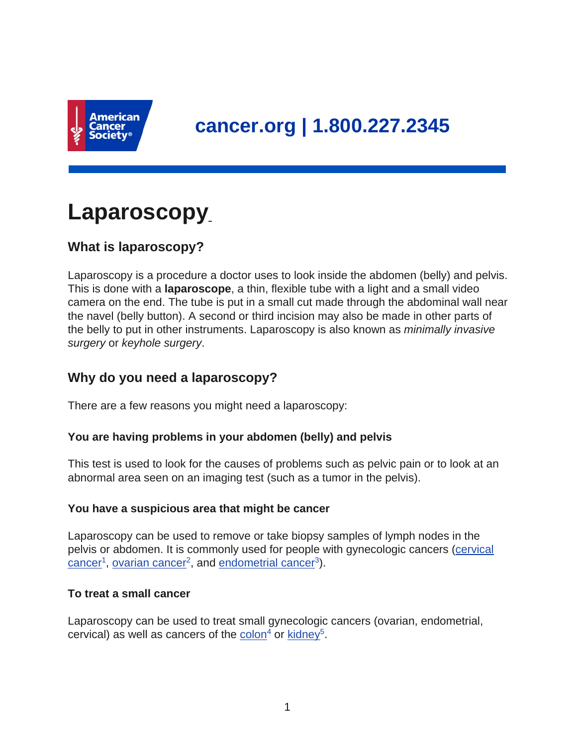

# **Laparoscopy**

# **What is laparoscopy?**

Laparoscopy is a procedure a doctor uses to look inside the abdomen (belly) and pelvis. This is done with a **laparoscope**, a thin, flexible tube with a light and a small video camera on the end. The tube is put in a small cut made through the abdominal wall near the navel (belly button). A second or third incision may also be made in other parts of the belly to put in other instruments. Laparoscopy is also known as *minimally invasive* surgery or keyhole surgery.

# **Why do you need a laparoscopy?**

There are a few reasons you might need a laparoscopy:

## **You are having problems in your abdomen (belly) and pelvis**

This test is used to look for the causes of problems such as pelvic pain or to look at an abnormal area seen on an imaging test (such as a tumor in the pelvis).

## **You have a suspicious area that might be cancer**

Laparoscopy can be used to remove or take biopsy samples of lymph nodes in the pelvis or abdomen. It is commonly used for people with gynecologic cancers [\(cervical](https://www.cancer.org/content/cancer/en/cancer/cervical-cancer.html)  $cancer<sup>1</sup>$  $cancer<sup>1</sup>$ , [ovarian cancer](https://www.cancer.org/content/cancer/en/cancer/ovarian-cancer.html)<sup>2</sup>, and [endometrial cancer](https://www.cancer.org/content/cancer/en/cancer/endometrial-cancer.html)<sup>3</sup>).

#### **To treat a small cancer**

Laparoscopy can be used to treat small gynecologic cancers (ovarian, endometrial, cervical) as well as cancers of the [colon](https://www.cancer.org/content/cancer/en/cancer/colon-rectal-cancer.html)<sup>4</sup> or [kidney](https://www.cancer.org/content/cancer/en/cancer/kidney-cancer.html)<sup>5</sup>.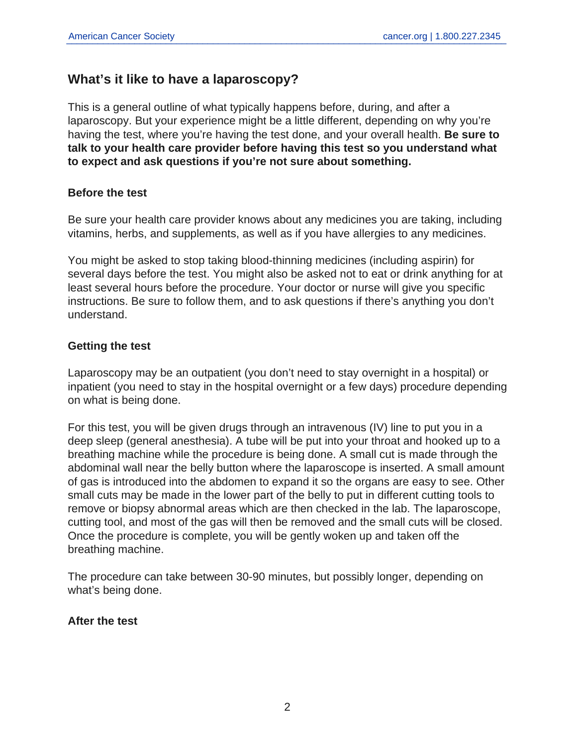## **What's it like to have a laparoscopy?**

This is a general outline of what typically happens before, during, and after a laparoscopy. But your experience might be a little different, depending on why you're having the test, where you're having the test done, and your overall health. **Be sure to talk to your health care provider before having this test so you understand what to expect and ask questions if you're not sure about something.**

#### **Before the test**

Be sure your health care provider knows about any medicines you are taking, including vitamins, herbs, and supplements, as well as if you have allergies to any medicines.

You might be asked to stop taking blood-thinning medicines (including aspirin) for several days before the test. You might also be asked not to eat or drink anything for at least several hours before the procedure. Your doctor or nurse will give you specific instructions. Be sure to follow them, and to ask questions if there's anything you don't understand.

## **Getting the test**

Laparoscopy may be an outpatient (you don't need to stay overnight in a hospital) or inpatient (you need to stay in the hospital overnight or a few days) procedure depending on what is being done.

For this test, you will be given drugs through an intravenous (IV) line to put you in a deep sleep (general anesthesia). A tube will be put into your throat and hooked up to a breathing machine while the procedure is being done. A small cut is made through the abdominal wall near the belly button where the laparoscope is inserted. A small amount of gas is introduced into the abdomen to expand it so the organs are easy to see. Other small cuts may be made in the lower part of the belly to put in different cutting tools to remove or biopsy abnormal areas which are then checked in the lab. The laparoscope, cutting tool, and most of the gas will then be removed and the small cuts will be closed. Once the procedure is complete, you will be gently woken up and taken off the breathing machine.

The procedure can take between 30-90 minutes, but possibly longer, depending on what's being done.

## **After the test**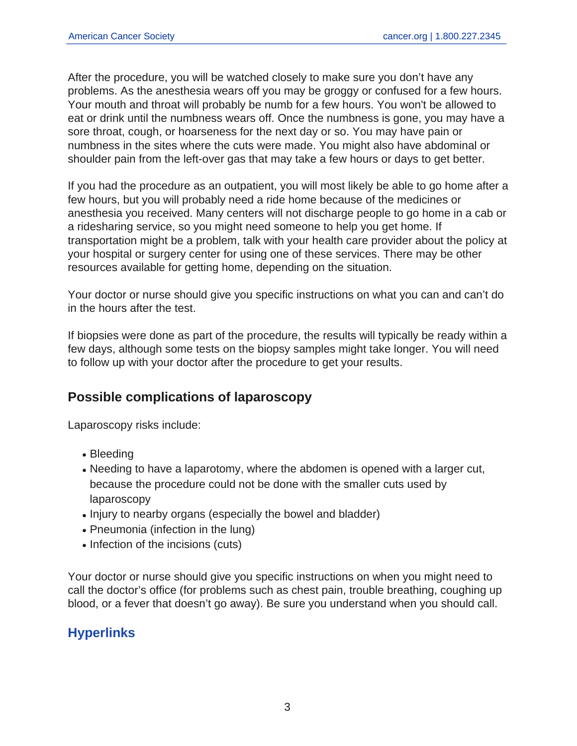After the procedure, you will be watched closely to make sure you don't have any problems. As the anesthesia wears off you may be groggy or confused for a few hours. Your mouth and throat will probably be numb for a few hours. You won't be allowed to eat or drink until the numbness wears off. Once the numbness is gone, you may have a sore throat, cough, or hoarseness for the next day or so. You may have pain or numbness in the sites where the cuts were made. You might also have abdominal or shoulder pain from the left-over gas that may take a few hours or days to get better.

If you had the procedure as an outpatient, you will most likely be able to go home after a few hours, but you will probably need a ride home because of the medicines or anesthesia you received. Many centers will not discharge people to go home in a cab or a ridesharing service, so you might need someone to help you get home. If transportation might be a problem, talk with your health care provider about the policy at your hospital or surgery center for using one of these services. There may be other resources available for getting home, depending on the situation.

Your doctor or nurse should give you specific instructions on what you can and can't do in the hours after the test.

If biopsies were done as part of the procedure, the results will typically be ready within a few days, although some tests on the biopsy samples might take longer. You will need to follow up with your doctor after the procedure to get your results.

# **Possible complications of laparoscopy**

Laparoscopy risks include:

- Bleeding
- Needing to have a laparotomy, where the abdomen is opened with a larger cut, because the procedure could not be done with the smaller cuts used by laparoscopy
- Injury to nearby organs (especially the bowel and bladder)
- Pneumonia (infection in the lung)
- Infection of the incisions (cuts)

Your doctor or nurse should give you specific instructions on when you might need to call the doctor's office (for problems such as chest pain, trouble breathing, coughing up blood, or a fever that doesn't go away). Be sure you understand when you should call.

# **Hyperlinks**